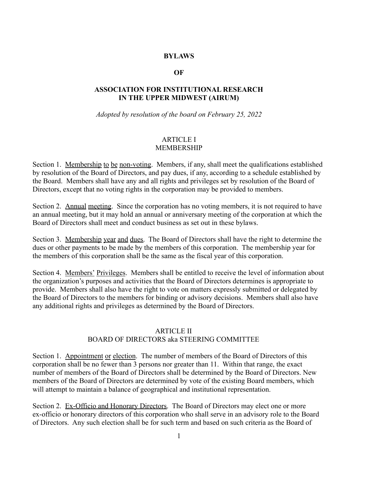## **BYLAWS**

### **OF**

## **ASSOCIATION FOR INSTITUTIONAL RESEARCH IN THE UPPER MIDWEST (AIRUM)**

*Adopted by resolution of the board on February 25, 2022*

#### ARTICLE I MEMBERSHIP

Section 1. Membership to be non-voting. Members, if any, shall meet the qualifications established by resolution of the Board of Directors, and pay dues, if any, according to a schedule established by the Board. Members shall have any and all rights and privileges set by resolution of the Board of Directors, except that no voting rights in the corporation may be provided to members.

Section 2. Annual meeting. Since the corporation has no voting members, it is not required to have an annual meeting, but it may hold an annual or anniversary meeting of the corporation at which the Board of Directors shall meet and conduct business as set out in these bylaws.

Section 3. Membership year and dues. The Board of Directors shall have the right to determine the dues or other payments to be made by the members of this corporation. The membership year for the members of this corporation shall be the same as the fiscal year of this corporation.

Section 4. Members' Privileges. Members shall be entitled to receive the level of information about the organization's purposes and activities that the Board of Directors determines is appropriate to provide. Members shall also have the right to vote on matters expressly submitted or delegated by the Board of Directors to the members for binding or advisory decisions. Members shall also have any additional rights and privileges as determined by the Board of Directors.

## ARTICLE II

## BOARD OF DIRECTORS aka STEERING COMMITTEE

Section 1. Appointment or election. The number of members of the Board of Directors of this corporation shall be no fewer than 3 persons nor greater than 11. Within that range, the exact number of members of the Board of Directors shall be determined by the Board of Directors. New members of the Board of Directors are determined by vote of the existing Board members, which will attempt to maintain a balance of geographical and institutional representation.

Section 2. Ex-Officio and Honorary Directors. The Board of Directors may elect one or more ex-officio or honorary directors of this corporation who shall serve in an advisory role to the Board of Directors. Any such election shall be for such term and based on such criteria as the Board of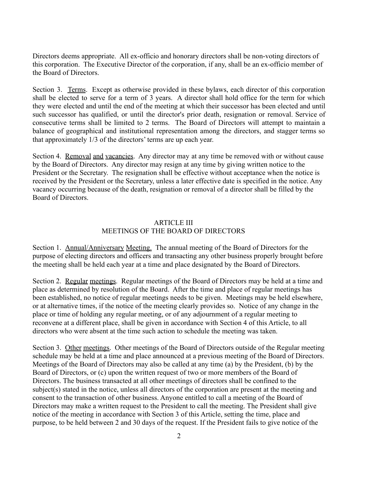Directors deems appropriate. All ex-officio and honorary directors shall be non-voting directors of this corporation. The Executive Director of the corporation, if any, shall be an ex-officio member of the Board of Directors.

Section 3. Terms. Except as otherwise provided in these bylaws, each director of this corporation shall be elected to serve for a term of 3 years. A director shall hold office for the term for which they were elected and until the end of the meeting at which their successor has been elected and until such successor has qualified, or until the director's prior death, resignation or removal. Service of consecutive terms shall be limited to 2 terms. The Board of Directors will attempt to maintain a balance of geographical and institutional representation among the directors, and stagger terms so that approximately 1/3 of the directors' terms are up each year.

Section 4. Removal and vacancies. Any director may at any time be removed with or without cause by the Board of Directors. Any director may resign at any time by giving written notice to the President or the Secretary. The resignation shall be effective without acceptance when the notice is received by the President or the Secretary, unless a later effective date is specified in the notice. Any vacancy occurring because of the death, resignation or removal of a director shall be filled by the Board of Directors.

## ARTICLE III MEETINGS OF THE BOARD OF DIRECTORS

Section 1. Annual/Anniversary Meeting. The annual meeting of the Board of Directors for the purpose of electing directors and officers and transacting any other business properly brought before the meeting shall be held each year at a time and place designated by the Board of Directors.

Section 2. Regular meetings. Regular meetings of the Board of Directors may be held at a time and place as determined by resolution of the Board. After the time and place of regular meetings has been established, no notice of regular meetings needs to be given. Meetings may be held elsewhere, or at alternative times, if the notice of the meeting clearly provides so. Notice of any change in the place or time of holding any regular meeting, or of any adjournment of a regular meeting to reconvene at a different place, shall be given in accordance with Section 4 of this Article, to all directors who were absent at the time such action to schedule the meeting was taken.

Section 3. Other meetings. Other meetings of the Board of Directors outside of the Regular meeting schedule may be held at a time and place announced at a previous meeting of the Board of Directors. Meetings of the Board of Directors may also be called at any time (a) by the President, (b) by the Board of Directors, or (c) upon the written request of two or more members of the Board of Directors. The business transacted at all other meetings of directors shall be confined to the subject(s) stated in the notice, unless all directors of the corporation are present at the meeting and consent to the transaction of other business. Anyone entitled to call a meeting of the Board of Directors may make a written request to the President to call the meeting. The President shall give notice of the meeting in accordance with Section 3 of this Article, setting the time, place and purpose, to be held between 2 and 30 days of the request. If the President fails to give notice of the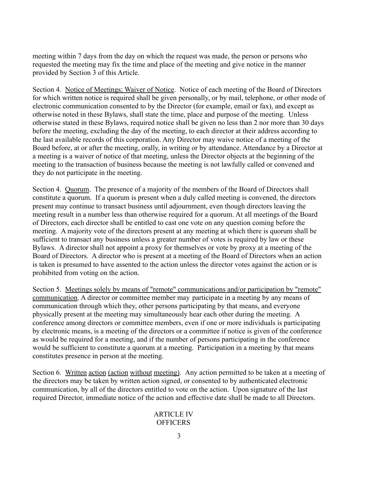meeting within 7 days from the day on which the request was made, the person or persons who requested the meeting may fix the time and place of the meeting and give notice in the manner provided by Section 3 of this Article.

Section 4. Notice of Meetings; Waiver of Notice. Notice of each meeting of the Board of Directors for which written notice is required shall be given personally, or by mail, telephone, or other mode of electronic communication consented to by the Director (for example, email or fax), and except as otherwise noted in these Bylaws, shall state the time, place and purpose of the meeting. Unless otherwise stated in these Bylaws, required notice shall be given no less than 2 nor more than 30 days before the meeting, excluding the day of the meeting, to each director at their address according to the last available records of this corporation. Any Director may waive notice of a meeting of the Board before, at or after the meeting, orally, in writing or by attendance. Attendance by a Director at a meeting is a waiver of notice of that meeting, unless the Director objects at the beginning of the meeting to the transaction of business because the meeting is not lawfully called or convened and they do not participate in the meeting.

Section 4. Quorum. The presence of a majority of the members of the Board of Directors shall constitute a quorum. If a quorum is present when a duly called meeting is convened, the directors present may continue to transact business until adjournment, even though directors leaving the meeting result in a number less than otherwise required for a quorum. At all meetings of the Board of Directors, each director shall be entitled to cast one vote on any question coming before the meeting. A majority vote of the directors present at any meeting at which there is quorum shall be sufficient to transact any business unless a greater number of votes is required by law or these Bylaws. A director shall not appoint a proxy for themselves or vote by proxy at a meeting of the Board of Directors. A director who is present at a meeting of the Board of Directors when an action is taken is presumed to have assented to the action unless the director votes against the action or is prohibited from voting on the action.

Section 5. Meetings solely by means of "remote" communications and/or participation by "remote" communication. A director or committee member may participate in a meeting by any means of communication through which they, other persons participating by that means, and everyone physically present at the meeting may simultaneously hear each other during the meeting. A conference among directors or committee members, even if one or more individuals is participating by electronic means, is a meeting of the directors or a committee if notice is given of the conference as would be required for a meeting, and if the number of persons participating in the conference would be sufficient to constitute a quorum at a meeting. Participation in a meeting by that means constitutes presence in person at the meeting.

Section 6. Written action (action without meeting). Any action permitted to be taken at a meeting of the directors may be taken by written action signed, or consented to by authenticated electronic communication, by all of the directors entitled to vote on the action. Upon signature of the last required Director, immediate notice of the action and effective date shall be made to all Directors.

# ARTICLE IV **OFFICERS**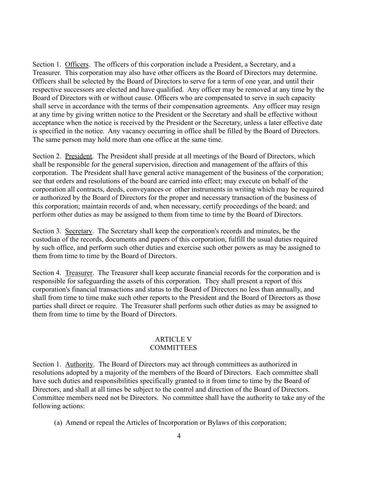Section 1. Officers. The officers of this corporation include a President, a Secretary, and a Treasurer. This corporation may also have other officers as the Board of Directors may determine. Officers shall be selected by the Board of Directors to serve for a term of one year, and until their respective successors are elected and have qualified. Any officer may be removed at any time by the Board of Directors with or without cause. Officers who are compensated to serve in such capacity shall serve in accordance with the terms of their compensation agreements. Any officer may resign at any time by giving written notice to the President or the Secretary and shall be effective without acceptance when the notice is received by the President or the Secretary, unless a later effective date is specified in the notice. Any vacancy occurring in office shall be filled by the Board of Directors. The same person may hold more than one office at the same time.

Section 2. President. The President shall preside at all meetings of the Board of Directors, which shall be responsible for the general supervision, direction and management of the affairs of this corporation. The President shall have general active management of the business of the corporation; see that orders and resolutions of the board are carried into effect; may execute on behalf of the corporation all contracts, deeds, conveyances or other instruments in writing which may be required or authorized by the Board of Directors for the proper and necessary transaction of the business of this corporation; maintain records of and, when necessary, certify proceedings of the board; and perform other duties as may be assigned to them from time to time by the Board of Directors.

Section 3. Secretary. The Secretary shall keep the corporation's records and minutes, be the custodian of the records, documents and papers of this corporation, fulfill the usual duties required by such office, and perform such other duties and exercise such other powers as may be assigned to them from time to time by the Board of Directors.

Section 4. Treasurer. The Treasurer shall keep accurate financial records for the corporation and is responsible for safeguarding the assets of this corporation. They shall present a report of this corporation's financial transactions and status to the Board of Directors no less than annually, and shall from time to time make such other reports to the President and the Board of Directors as those parties shall direct or require. The Treasurer shall perform such other duties as may be assigned to them from time to time by the Board of Directors.

## ARTICLE V **COMMITTEES**

Section 1. Authority. The Board of Directors may act through committees as authorized in resolutions adopted by a majority of the members of the Board of Directors. Each committee shall have such duties and responsibilities specifically granted to it from time to time by the Board of Directors, and shall at all times be subject to the control and direction of the Board of Directors. Committee members need not be Directors. No committee shall have the authority to take any of the following actions:

(a) Amend or repeal the Articles of Incorporation or Bylaws of this corporation;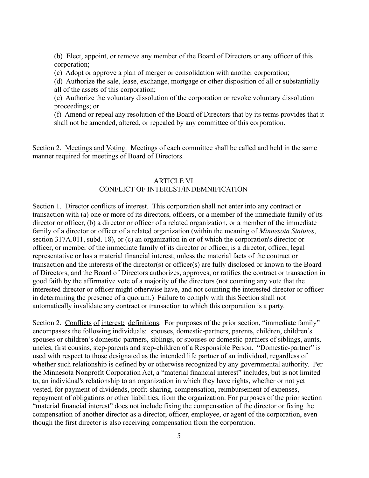(b) Elect, appoint, or remove any member of the Board of Directors or any officer of this corporation;

(c) Adopt or approve a plan of merger or consolidation with another corporation;

(d) Authorize the sale, lease, exchange, mortgage or other disposition of all or substantially all of the assets of this corporation;

(e) Authorize the voluntary dissolution of the corporation or revoke voluntary dissolution proceedings; or

(f) Amend or repeal any resolution of the Board of Directors that by its terms provides that it shall not be amended, altered, or repealed by any committee of this corporation.

Section 2. Meetings and Voting. Meetings of each committee shall be called and held in the same manner required for meetings of Board of Directors.

#### ARTICLE VI CONFLICT OF INTEREST/INDEMNIFICATION

Section 1. Director conflicts of interest. This corporation shall not enter into any contract or transaction with (a) one or more of its directors, officers, or a member of the immediate family of its director or officer, (b) a director or officer of a related organization, or a member of the immediate family of a director or officer of a related organization (within the meaning of *Minnesota Statutes*, section 317A.011, subd. 18), or (c) an organization in or of which the corporation's director or officer, or member of the immediate family of its director or officer, is a director, officer, legal representative or has a material financial interest; unless the material facts of the contract or transaction and the interests of the director(s) or officer(s) are fully disclosed or known to the Board of Directors, and the Board of Directors authorizes, approves, or ratifies the contract or transaction in good faith by the affirmative vote of a majority of the directors (not counting any vote that the interested director or officer might otherwise have, and not counting the interested director or officer in determining the presence of a quorum.) Failure to comply with this Section shall not automatically invalidate any contract or transaction to which this corporation is a party.

Section 2. Conflicts of interest: definitions. For purposes of the prior section, "immediate family" encompasses the following individuals: spouses, domestic-partners, parents, children, children's spouses or children's domestic-partners, siblings, or spouses or domestic-partners of siblings, aunts, uncles, first cousins, step-parents and step-children of a Responsible Person. "Domestic-partner" is used with respect to those designated as the intended life partner of an individual, regardless of whether such relationship is defined by or otherwise recognized by any governmental authority. Per the Minnesota Nonprofit Corporation Act, a "material financial interest" includes, but is not limited to, an individual's relationship to an organization in which they have rights, whether or not yet vested, for payment of dividends, profit-sharing, compensation, reimbursement of expenses, repayment of obligations or other liabilities, from the organization. For purposes of the prior section "material financial interest" does not include fixing the compensation of the director or fixing the compensation of another director as a director, officer, employee, or agent of the corporation, even though the first director is also receiving compensation from the corporation.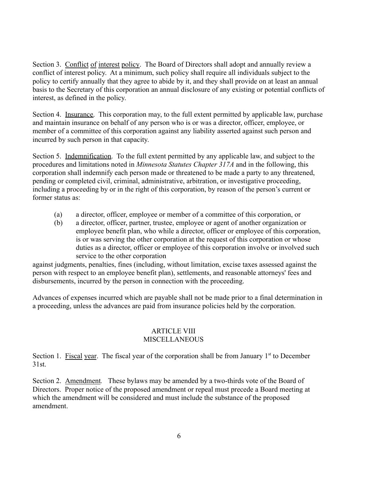Section 3. Conflict of interest policy. The Board of Directors shall adopt and annually review a conflict of interest policy. At a minimum, such policy shall require all individuals subject to the policy to certify annually that they agree to abide by it, and they shall provide on at least an annual basis to the Secretary of this corporation an annual disclosure of any existing or potential conflicts of interest, as defined in the policy.

Section 4. Insurance. This corporation may, to the full extent permitted by applicable law, purchase and maintain insurance on behalf of any person who is or was a director, officer, employee, or member of a committee of this corporation against any liability asserted against such person and incurred by such person in that capacity.

Section 5. Indemnification. To the full extent permitted by any applicable law, and subject to the procedures and limitations noted in *Minnesota Statutes Chapter 317A* and in the following, this corporation shall indemnify each person made or threatened to be made a party to any threatened, pending or completed civil, criminal, administrative, arbitration, or investigative proceeding, including a proceeding by or in the right of this corporation, by reason of the person's current or former status as:

- (a) a director, officer, employee or member of a committee of this corporation, or
- (b) a director, officer, partner, trustee, employee or agent of another organization or employee benefit plan, who while a director, officer or employee of this corporation, is or was serving the other corporation at the request of this corporation or whose duties as a director, officer or employee of this corporation involve or involved such service to the other corporation

against judgments, penalties, fines (including, without limitation, excise taxes assessed against the person with respect to an employee benefit plan), settlements, and reasonable attorneys' fees and disbursements, incurred by the person in connection with the proceeding.

Advances of expenses incurred which are payable shall not be made prior to a final determination in a proceeding, unless the advances are paid from insurance policies held by the corporation.

## ARTICLE VIII **MISCELLANEOUS**

Section 1. Fiscal year. The fiscal year of the corporation shall be from January 1<sup>st</sup> to December 31st.

Section 2. Amendment*.* These bylaws may be amended by a two-thirds vote of the Board of Directors. Proper notice of the proposed amendment or repeal must precede a Board meeting at which the amendment will be considered and must include the substance of the proposed amendment.